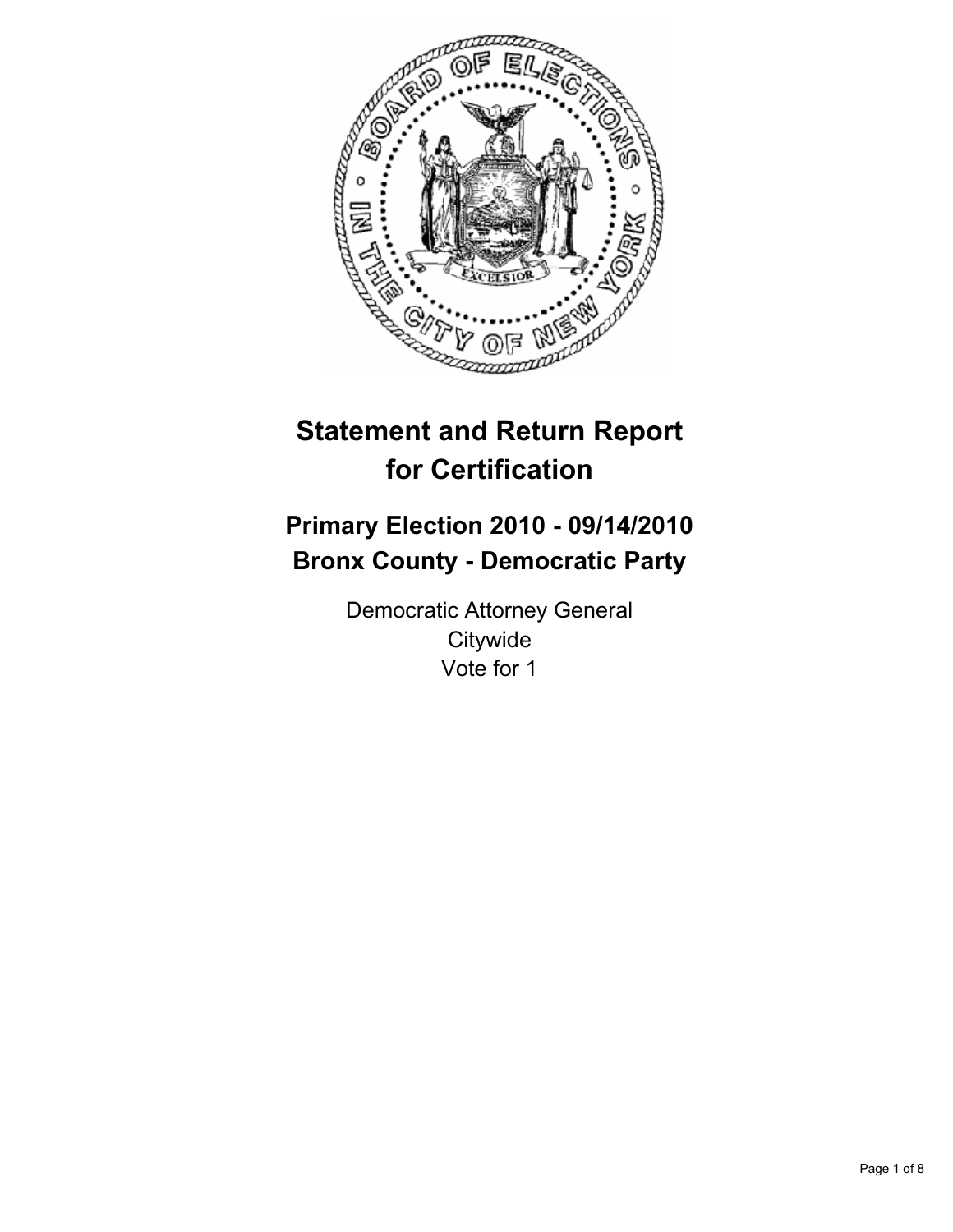

# **Statement and Return Report for Certification**

# **Primary Election 2010 - 09/14/2010 Bronx County - Democratic Party**

Democratic Attorney General **Citywide** Vote for 1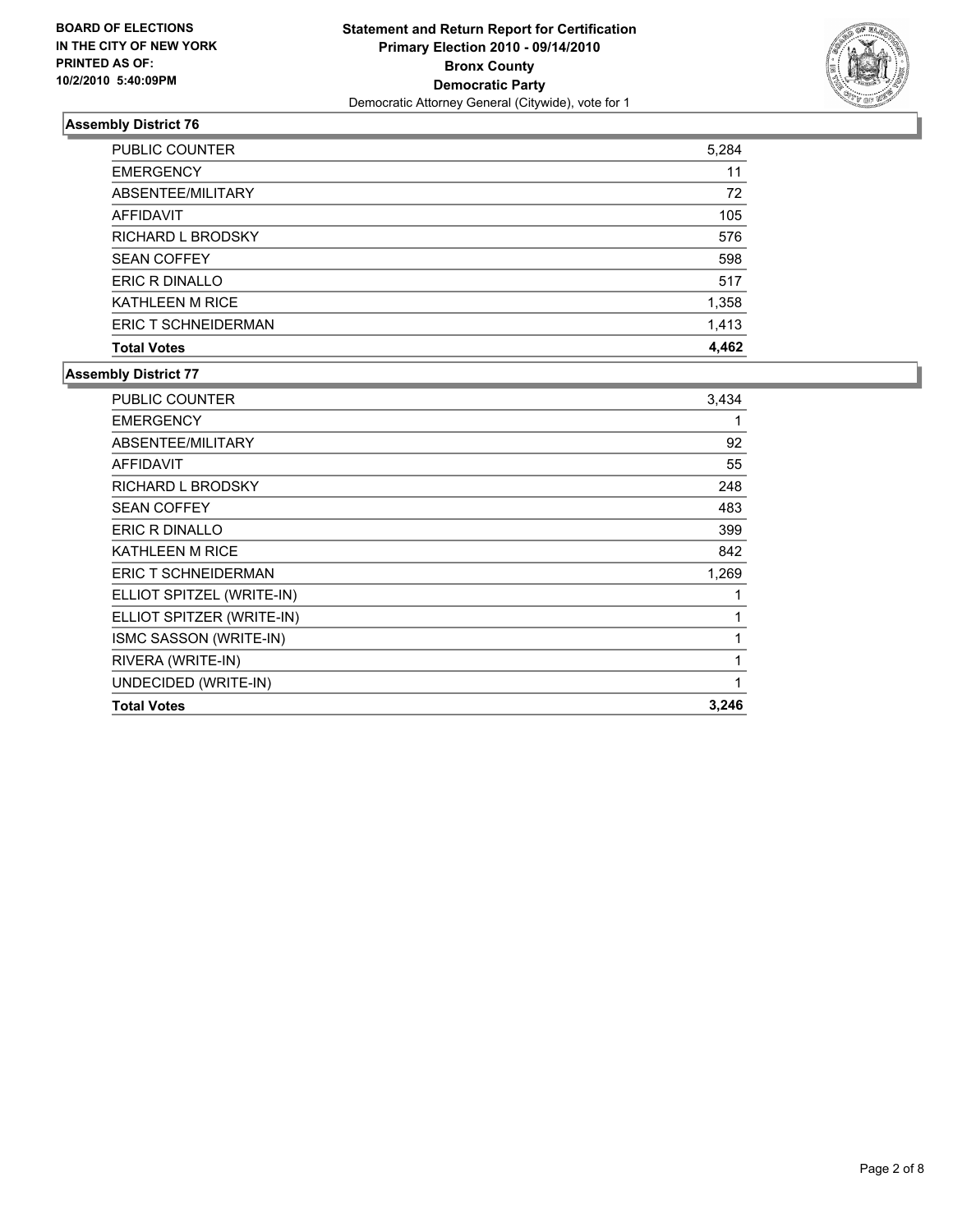

| PUBLIC COUNTER           | 5,284 |
|--------------------------|-------|
| <b>EMERGENCY</b>         | 11    |
| ABSENTEE/MILITARY        | 72    |
| AFFIDAVIT                | 105   |
| <b>RICHARD L BRODSKY</b> | 576   |
| <b>SEAN COFFEY</b>       | 598   |
| ERIC R DINALLO           | 517   |
| <b>KATHLEEN M RICE</b>   | 1,358 |
| ERIC T SCHNEIDERMAN      | 1,413 |
| <b>Total Votes</b>       | 4.462 |

| PUBLIC COUNTER             | 3,434 |
|----------------------------|-------|
| <b>EMERGENCY</b>           | 1     |
| ABSENTEE/MILITARY          | 92    |
| <b>AFFIDAVIT</b>           | 55    |
| RICHARD L BRODSKY          | 248   |
| <b>SEAN COFFEY</b>         | 483   |
| ERIC R DINALLO             | 399   |
| <b>KATHLEEN M RICE</b>     | 842   |
| <b>ERIC T SCHNEIDERMAN</b> | 1,269 |
| ELLIOT SPITZEL (WRITE-IN)  |       |
| ELLIOT SPITZER (WRITE-IN)  | 1     |
| ISMC SASSON (WRITE-IN)     | 1     |
| RIVERA (WRITE-IN)          | 1     |
| UNDECIDED (WRITE-IN)       | 1     |
| <b>Total Votes</b>         | 3,246 |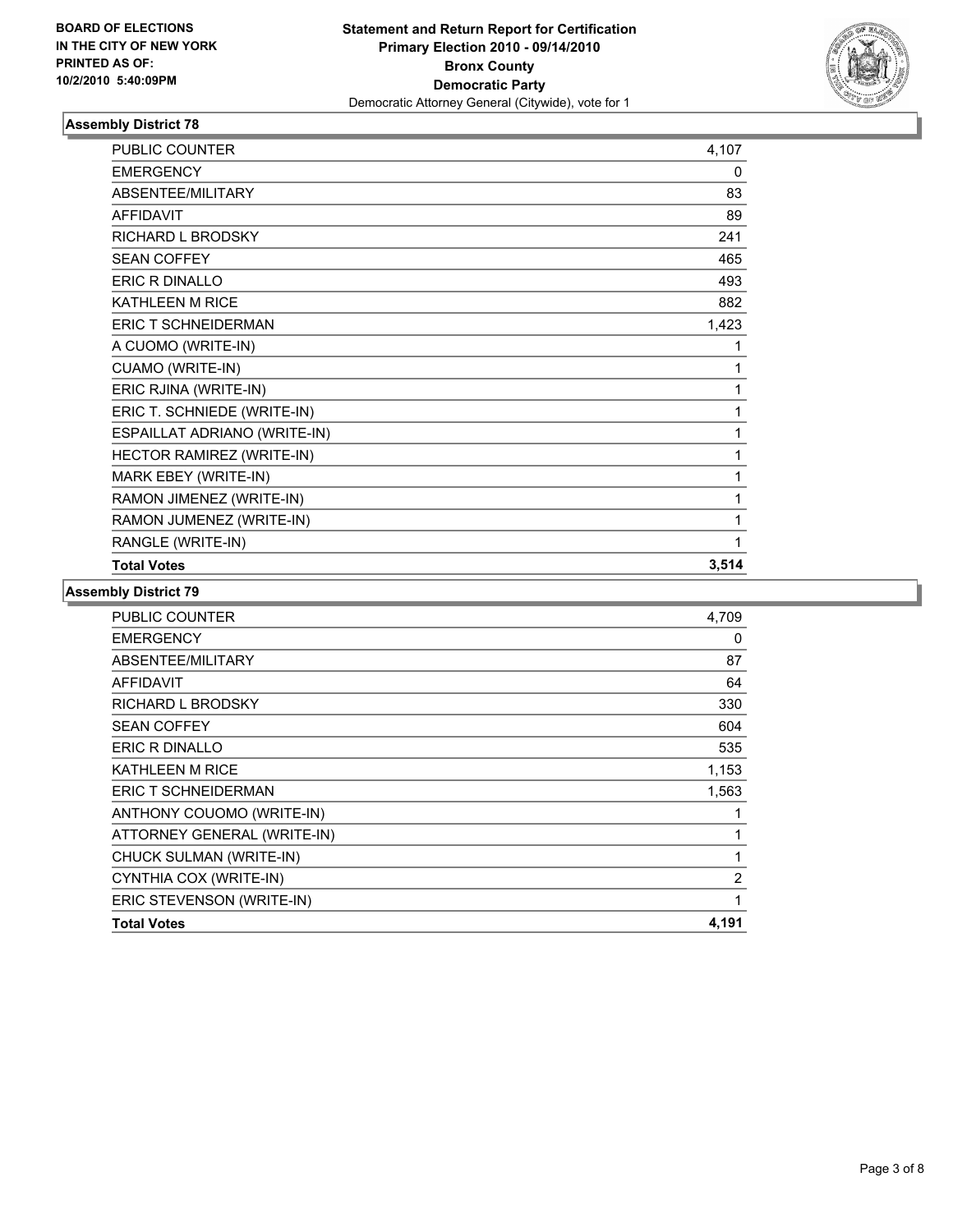

| PUBLIC COUNTER               | 4,107 |
|------------------------------|-------|
| <b>EMERGENCY</b>             | 0     |
| ABSENTEE/MILITARY            | 83    |
| <b>AFFIDAVIT</b>             | 89    |
| <b>RICHARD L BRODSKY</b>     | 241   |
| <b>SEAN COFFEY</b>           | 465   |
| ERIC R DINALLO               | 493   |
| <b>KATHLEEN M RICE</b>       | 882   |
| <b>ERIC T SCHNEIDERMAN</b>   | 1,423 |
| A CUOMO (WRITE-IN)           | 1     |
| CUAMO (WRITE-IN)             | 1     |
| ERIC RJINA (WRITE-IN)        | 1     |
| ERIC T. SCHNIEDE (WRITE-IN)  | 1     |
| ESPAILLAT ADRIANO (WRITE-IN) | 1     |
| HECTOR RAMIREZ (WRITE-IN)    | 1     |
| MARK EBEY (WRITE-IN)         | 1     |
| RAMON JIMENEZ (WRITE-IN)     | 1     |
| RAMON JUMENEZ (WRITE-IN)     | 1     |
| RANGLE (WRITE-IN)            | 1     |
| <b>Total Votes</b>           | 3,514 |

| PUBLIC COUNTER              | 4,709          |
|-----------------------------|----------------|
| <b>EMERGENCY</b>            | 0              |
| ABSENTEE/MILITARY           | 87             |
| <b>AFFIDAVIT</b>            | 64             |
| RICHARD L BRODSKY           | 330            |
| <b>SEAN COFFEY</b>          | 604            |
| ERIC R DINALLO              | 535            |
| <b>KATHLEEN M RICE</b>      | 1,153          |
| <b>ERIC T SCHNEIDERMAN</b>  | 1,563          |
| ANTHONY COUOMO (WRITE-IN)   | 1              |
| ATTORNEY GENERAL (WRITE-IN) | 1              |
| CHUCK SULMAN (WRITE-IN)     | 1              |
| CYNTHIA COX (WRITE-IN)      | $\overline{2}$ |
| ERIC STEVENSON (WRITE-IN)   | 1              |
| <b>Total Votes</b>          | 4.191          |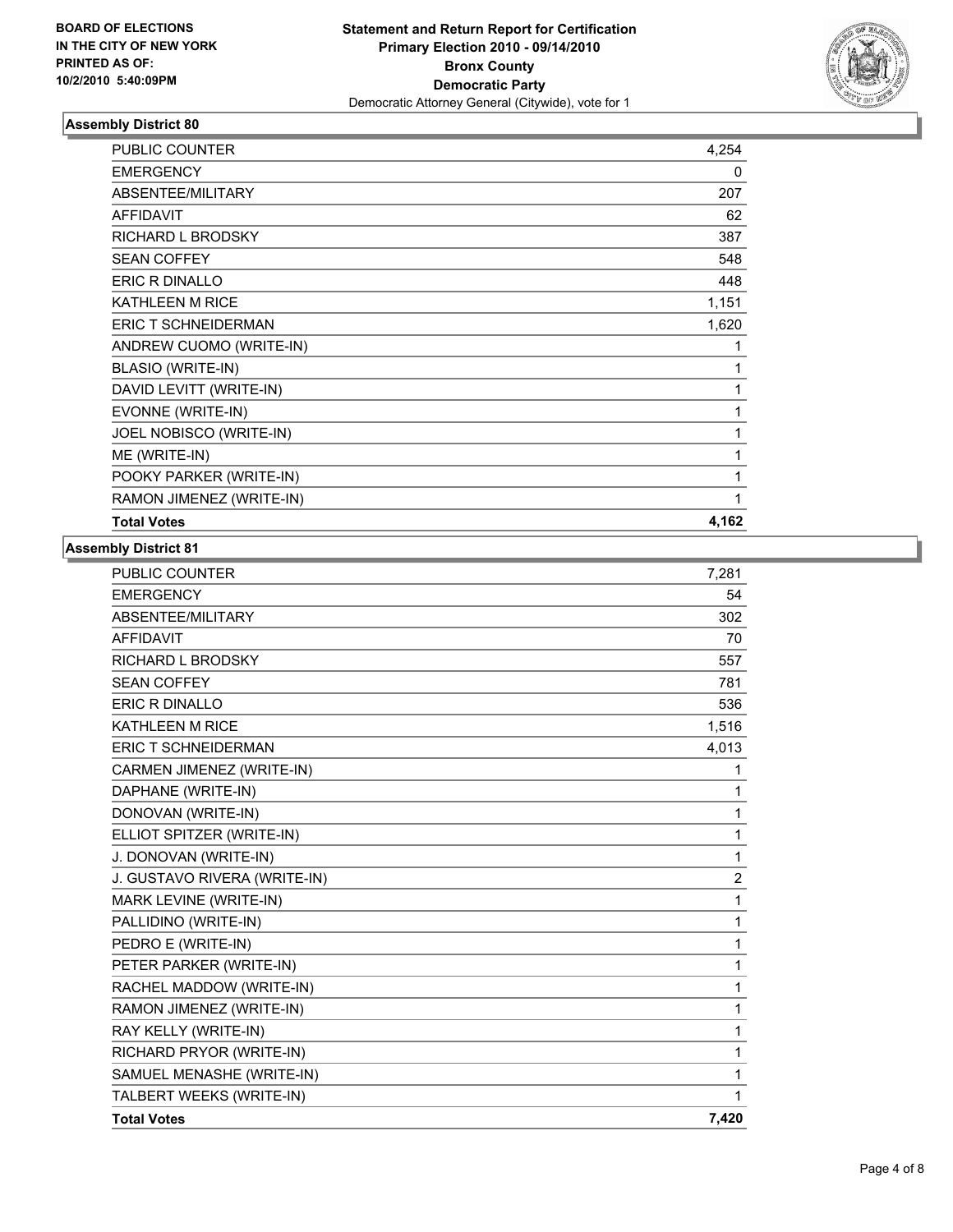

| <b>PUBLIC COUNTER</b>      | 4.254 |
|----------------------------|-------|
| <b>EMERGENCY</b>           | 0     |
| ABSENTEE/MILITARY          | 207   |
| <b>AFFIDAVIT</b>           | 62    |
| <b>RICHARD L BRODSKY</b>   | 387   |
| <b>SEAN COFFEY</b>         | 548   |
| <b>ERIC R DINALLO</b>      | 448   |
| <b>KATHLEEN M RICE</b>     | 1,151 |
| <b>ERIC T SCHNEIDERMAN</b> | 1,620 |
| ANDREW CUOMO (WRITE-IN)    | 1     |
| <b>BLASIO (WRITE-IN)</b>   | 1     |
| DAVID LEVITT (WRITE-IN)    | 1     |
| EVONNE (WRITE-IN)          | 1     |
| JOEL NOBISCO (WRITE-IN)    | 1     |
| ME (WRITE-IN)              | 1     |
| POOKY PARKER (WRITE-IN)    | 1     |
| RAMON JIMENEZ (WRITE-IN)   | 1     |
| <b>Total Votes</b>         | 4,162 |

| PUBLIC COUNTER               | 7,281          |
|------------------------------|----------------|
| <b>EMERGENCY</b>             | 54             |
| ABSENTEE/MILITARY            | 302            |
| <b>AFFIDAVIT</b>             | 70             |
| <b>RICHARD L BRODSKY</b>     | 557            |
| <b>SEAN COFFEY</b>           | 781            |
| <b>ERIC R DINALLO</b>        | 536            |
| <b>KATHLEEN M RICE</b>       | 1,516          |
| <b>ERIC T SCHNEIDERMAN</b>   | 4,013          |
| CARMEN JIMENEZ (WRITE-IN)    | 1              |
| DAPHANE (WRITE-IN)           | 1              |
| DONOVAN (WRITE-IN)           | 1              |
| ELLIOT SPITZER (WRITE-IN)    | 1              |
| J. DONOVAN (WRITE-IN)        | 1              |
| J. GUSTAVO RIVERA (WRITE-IN) | $\overline{c}$ |
| MARK LEVINE (WRITE-IN)       | 1              |
| PALLIDINO (WRITE-IN)         | 1              |
| PEDRO E (WRITE-IN)           | 1              |
| PETER PARKER (WRITE-IN)      | 1              |
| RACHEL MADDOW (WRITE-IN)     | 1              |
| RAMON JIMENEZ (WRITE-IN)     | 1              |
| RAY KELLY (WRITE-IN)         | 1              |
| RICHARD PRYOR (WRITE-IN)     | 1              |
| SAMUEL MENASHE (WRITE-IN)    | 1              |
| TALBERT WEEKS (WRITE-IN)     | 1              |
| <b>Total Votes</b>           | 7,420          |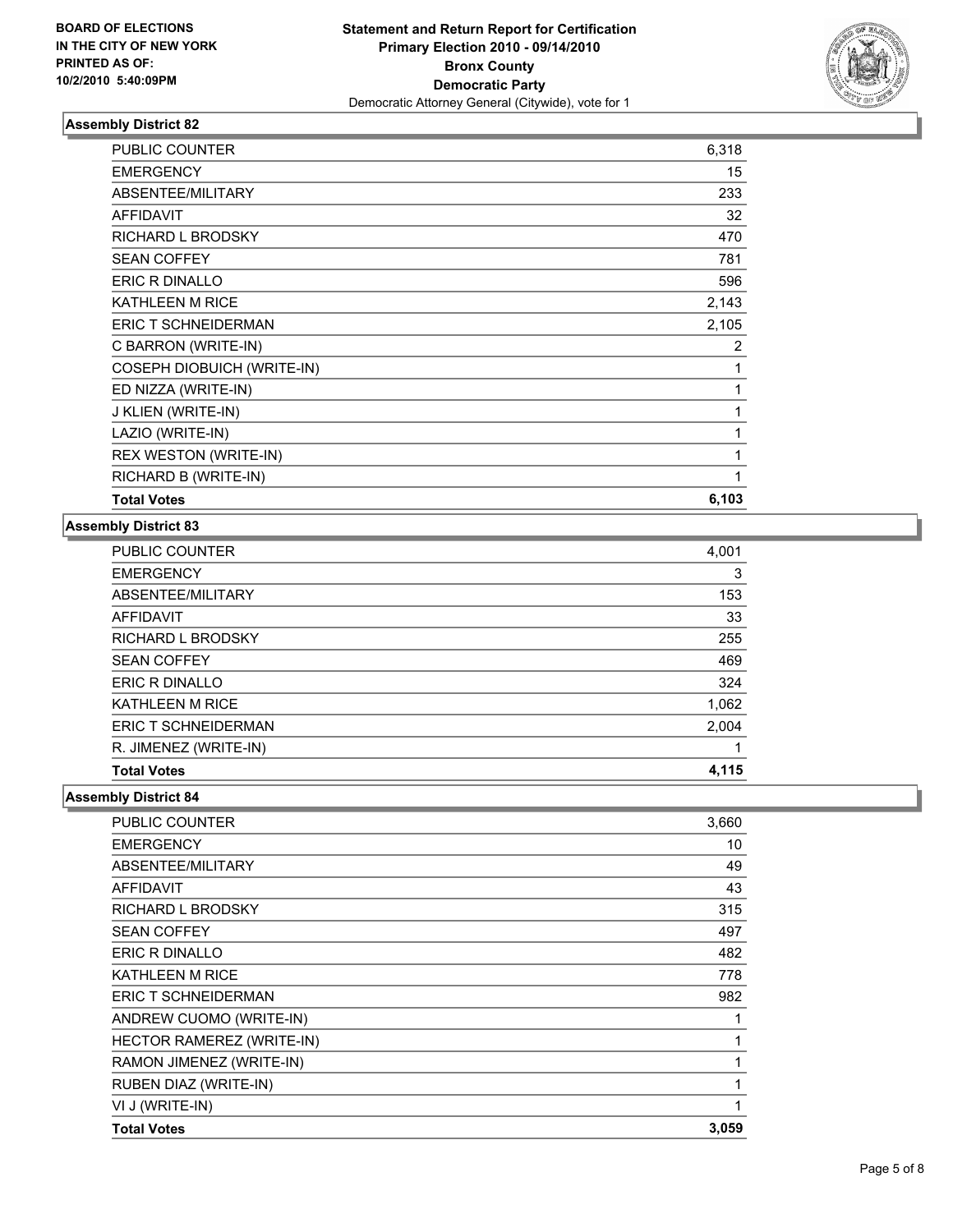

| PUBLIC COUNTER             | 6,318 |
|----------------------------|-------|
| <b>EMERGENCY</b>           | 15    |
| ABSENTEE/MILITARY          | 233   |
| <b>AFFIDAVIT</b>           | 32    |
| RICHARD L BRODSKY          | 470   |
| <b>SEAN COFFEY</b>         | 781   |
| ERIC R DINALLO             | 596   |
| KATHLEEN M RICE            | 2,143 |
| <b>ERIC T SCHNEIDERMAN</b> | 2,105 |
| C BARRON (WRITE-IN)        | 2     |
| COSEPH DIOBUICH (WRITE-IN) | 1     |
| ED NIZZA (WRITE-IN)        | 1     |
| J KLIEN (WRITE-IN)         | 1     |
| LAZIO (WRITE-IN)           | 1     |
| REX WESTON (WRITE-IN)      | 1     |
| RICHARD B (WRITE-IN)       | 1     |
| <b>Total Votes</b>         | 6,103 |

#### **Assembly District 83**

| <b>PUBLIC COUNTER</b>  | 4,001 |
|------------------------|-------|
| <b>EMERGENCY</b>       | 3     |
| ABSENTEE/MILITARY      | 153   |
| AFFIDAVIT              | 33    |
| RICHARD L BRODSKY      | 255   |
| <b>SEAN COFFEY</b>     | 469   |
| ERIC R DINALLO         | 324   |
| <b>KATHLEEN M RICE</b> | 1,062 |
| ERIC T SCHNEIDERMAN    | 2,004 |
| R. JIMENEZ (WRITE-IN)  |       |
| <b>Total Votes</b>     | 4,115 |

| PUBLIC COUNTER             | 3,660        |
|----------------------------|--------------|
| <b>EMERGENCY</b>           | 10           |
| ABSENTEE/MILITARY          | 49           |
| AFFIDAVIT                  | 43           |
| RICHARD L BRODSKY          | 315          |
| <b>SEAN COFFEY</b>         | 497          |
| ERIC R DINALLO             | 482          |
| KATHLEEN M RICE            | 778          |
| <b>ERIC T SCHNEIDERMAN</b> | 982          |
| ANDREW CUOMO (WRITE-IN)    | 1            |
| HECTOR RAMEREZ (WRITE-IN)  | $\mathbf{1}$ |
| RAMON JIMENEZ (WRITE-IN)   | 1            |
| RUBEN DIAZ (WRITE-IN)      | 1            |
| VI J (WRITE-IN)            | $\mathbf{1}$ |
| <b>Total Votes</b>         | 3,059        |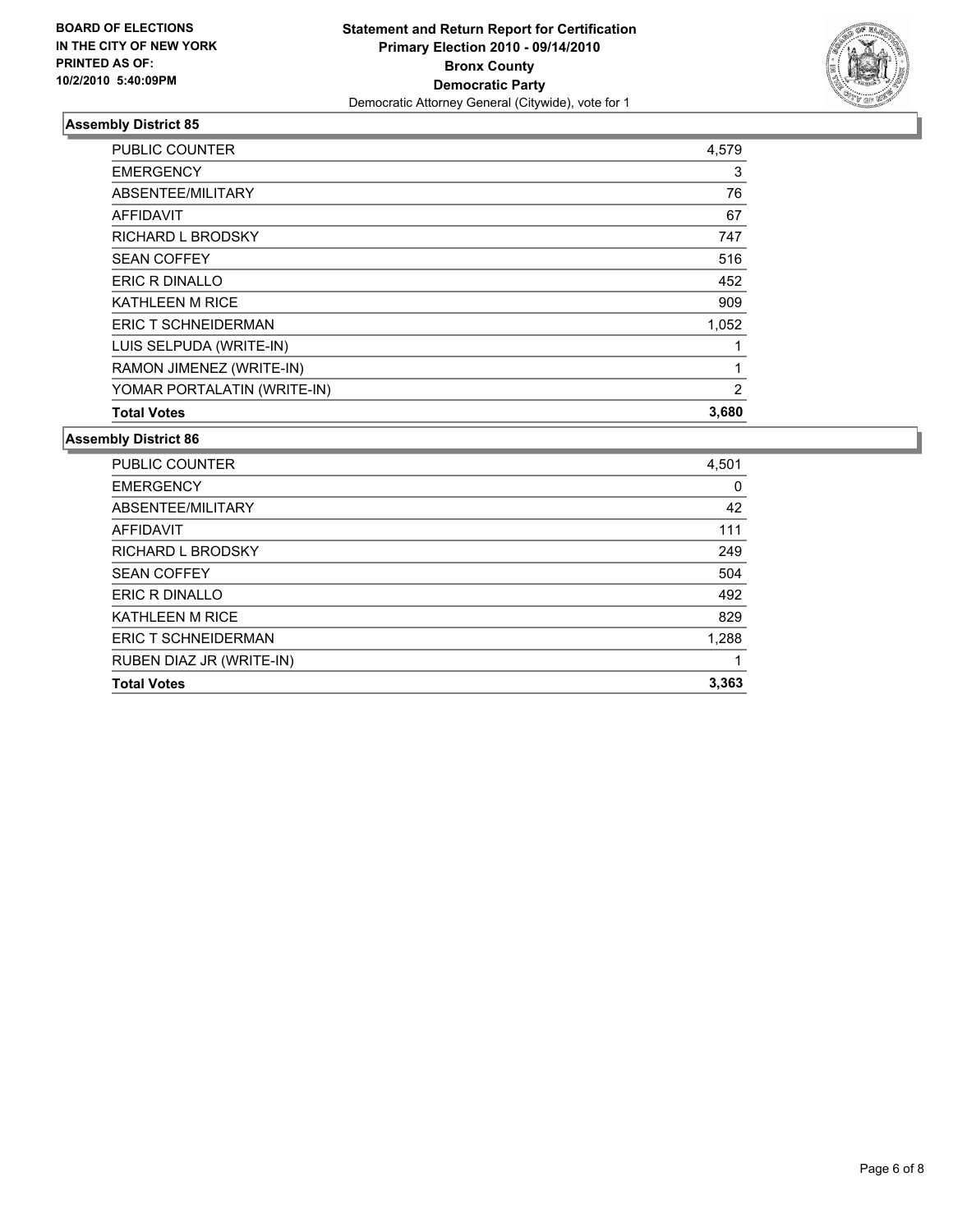

| <b>PUBLIC COUNTER</b>       | 4,579          |
|-----------------------------|----------------|
| <b>EMERGENCY</b>            | 3              |
| ABSENTEE/MILITARY           | 76             |
| <b>AFFIDAVIT</b>            | 67             |
| <b>RICHARD L BRODSKY</b>    | 747            |
| <b>SEAN COFFEY</b>          | 516            |
| <b>ERIC R DINALLO</b>       | 452            |
| KATHLEEN M RICE             | 909            |
| ERIC T SCHNEIDERMAN         | 1,052          |
| LUIS SELPUDA (WRITE-IN)     |                |
| RAMON JIMENEZ (WRITE-IN)    | 1              |
| YOMAR PORTALATIN (WRITE-IN) | $\overline{2}$ |
| <b>Total Votes</b>          | 3,680          |

| <b>PUBLIC COUNTER</b>    | 4,501 |
|--------------------------|-------|
| <b>EMERGENCY</b>         | 0     |
| ABSENTEE/MILITARY        | 42    |
| AFFIDAVIT                | 111   |
| <b>RICHARD L BRODSKY</b> | 249   |
| <b>SEAN COFFEY</b>       | 504   |
| ERIC R DINALLO           | 492   |
| <b>KATHLEEN M RICE</b>   | 829   |
| ERIC T SCHNEIDERMAN      | 1,288 |
| RUBEN DIAZ JR (WRITE-IN) |       |
| <b>Total Votes</b>       | 3,363 |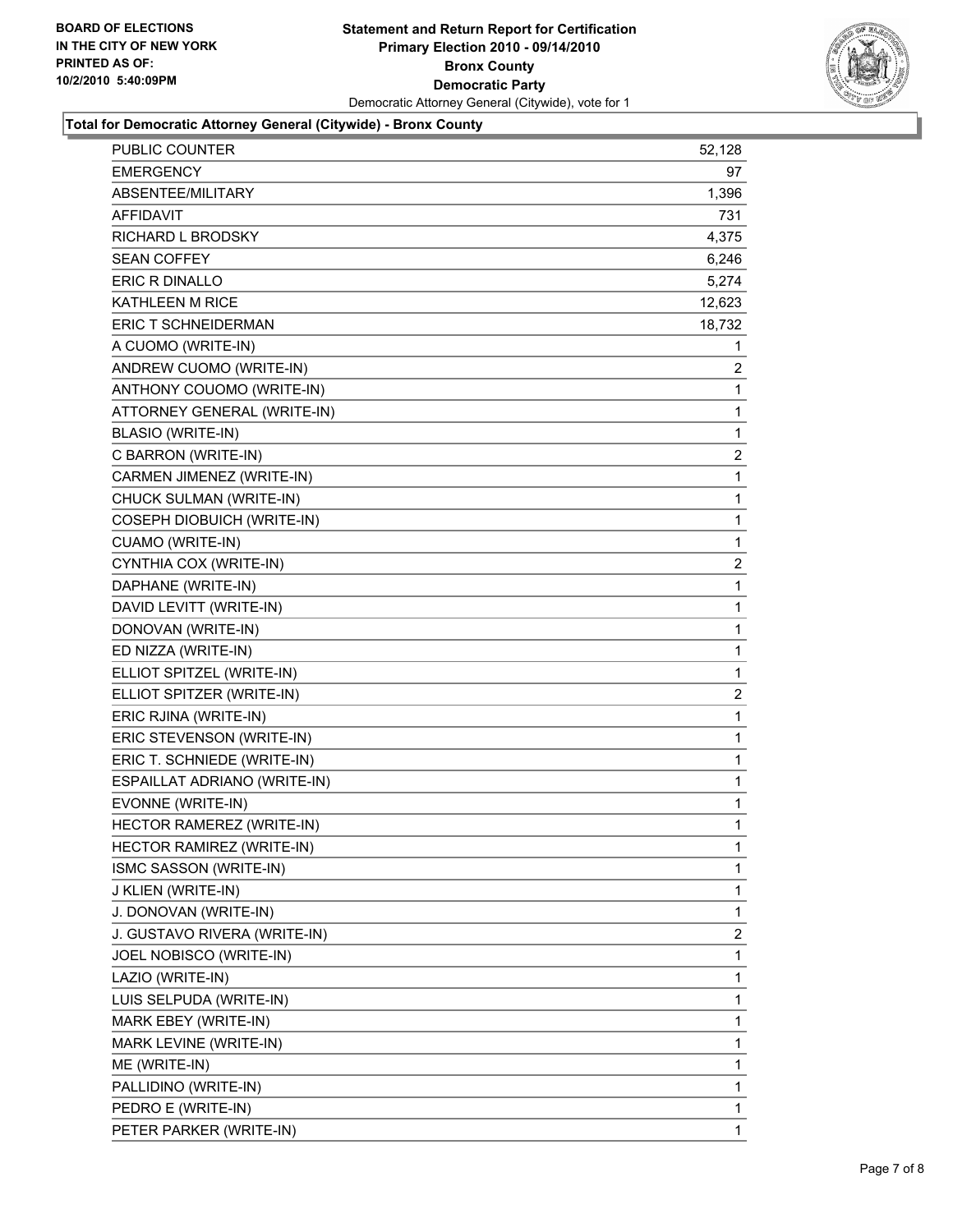

### **Total for Democratic Attorney General (Citywide) - Bronx County**

| <b>EMERGENCY</b>             | 97                      |
|------------------------------|-------------------------|
|                              |                         |
| ABSENTEE/MILITARY            | 1,396                   |
| AFFIDAVIT                    | 731                     |
| RICHARD L BRODSKY            | 4,375                   |
| <b>SEAN COFFEY</b>           | 6,246                   |
| ERIC R DINALLO               | 5,274                   |
| KATHLEEN M RICE              | 12,623                  |
| <b>ERIC T SCHNEIDERMAN</b>   | 18,732                  |
| A CUOMO (WRITE-IN)           | 1                       |
| ANDREW CUOMO (WRITE-IN)      | $\overline{2}$          |
| ANTHONY COUOMO (WRITE-IN)    | 1                       |
| ATTORNEY GENERAL (WRITE-IN)  | 1                       |
| <b>BLASIO (WRITE-IN)</b>     | 1                       |
| C BARRON (WRITE-IN)          | $\overline{\mathbf{c}}$ |
| CARMEN JIMENEZ (WRITE-IN)    | 1                       |
| CHUCK SULMAN (WRITE-IN)      | 1                       |
| COSEPH DIOBUICH (WRITE-IN)   | 1                       |
| CUAMO (WRITE-IN)             | $\mathbf 1$             |
| CYNTHIA COX (WRITE-IN)       | $\overline{2}$          |
| DAPHANE (WRITE-IN)           | 1                       |
| DAVID LEVITT (WRITE-IN)      | 1                       |
| DONOVAN (WRITE-IN)           | 1                       |
| ED NIZZA (WRITE-IN)          | 1                       |
| ELLIOT SPITZEL (WRITE-IN)    | $\mathbf 1$             |
| ELLIOT SPITZER (WRITE-IN)    | 2                       |
| ERIC RJINA (WRITE-IN)        | 1                       |
| ERIC STEVENSON (WRITE-IN)    | 1                       |
| ERIC T. SCHNIEDE (WRITE-IN)  | 1                       |
| ESPAILLAT ADRIANO (WRITE-IN) | 1                       |
| EVONNE (WRITE-IN)            | 1                       |
| HECTOR RAMEREZ (WRITE-IN)    | 1                       |
| HECTOR RAMIREZ (WRITE-IN)    | 1                       |
| ISMC SASSON (WRITE-IN)       | 1                       |
| J KLIEN (WRITE-IN)           | 1                       |
| J. DONOVAN (WRITE-IN)        | 1                       |
| J. GUSTAVO RIVERA (WRITE-IN) | 2                       |
| JOEL NOBISCO (WRITE-IN)      | 1                       |
| LAZIO (WRITE-IN)             | 1                       |
| LUIS SELPUDA (WRITE-IN)      | 1                       |
| MARK EBEY (WRITE-IN)         | 1                       |
| MARK LEVINE (WRITE-IN)       | 1                       |
| ME (WRITE-IN)                | 1                       |
| PALLIDINO (WRITE-IN)         | 1                       |
| PEDRO E (WRITE-IN)           | 1                       |
| PETER PARKER (WRITE-IN)      | 1                       |